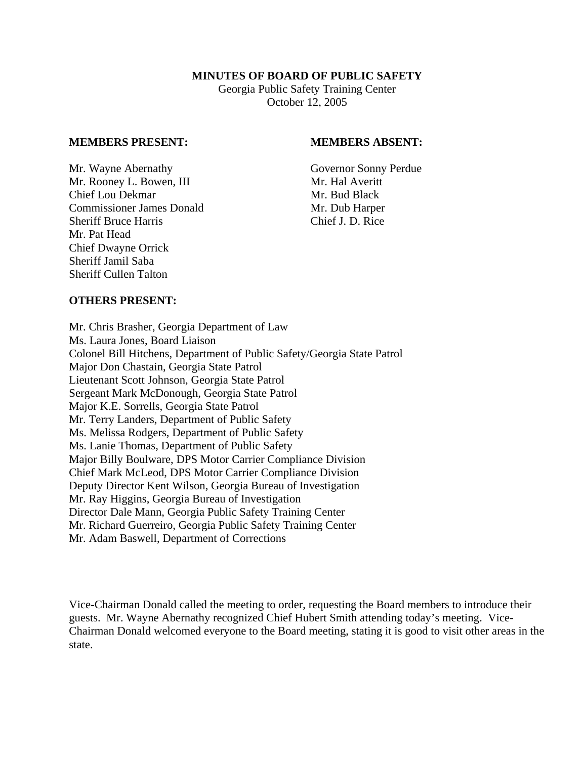### **MINUTES OF BOARD OF PUBLIC SAFETY**

Georgia Public Safety Training Center October 12, 2005

#### **MEMBERS PRESENT: MEMBERS ABSENT:**

Mr. Wayne Abernathy Governor Sonny Perdue Mr. Rooney L. Bowen, III Mr. Hal Averitt Chief Lou Dekmar Mr. Bud Black Commissioner James Donald Mr. Dub Harper Sheriff Bruce Harris Chief J. D. Rice Mr. Pat Head Chief Dwayne Orrick Sheriff Jamil Saba Sheriff Cullen Talton

## **OTHERS PRESENT:**

Mr. Chris Brasher, Georgia Department of Law Ms. Laura Jones, Board Liaison Colonel Bill Hitchens, Department of Public Safety/Georgia State Patrol Major Don Chastain, Georgia State Patrol Lieutenant Scott Johnson, Georgia State Patrol Sergeant Mark McDonough, Georgia State Patrol Major K.E. Sorrells, Georgia State Patrol Mr. Terry Landers, Department of Public Safety Ms. Melissa Rodgers, Department of Public Safety Ms. Lanie Thomas, Department of Public Safety Major Billy Boulware, DPS Motor Carrier Compliance Division Chief Mark McLeod, DPS Motor Carrier Compliance Division Deputy Director Kent Wilson, Georgia Bureau of Investigation Mr. Ray Higgins, Georgia Bureau of Investigation Director Dale Mann, Georgia Public Safety Training Center Mr. Richard Guerreiro, Georgia Public Safety Training Center Mr. Adam Baswell, Department of Corrections

Vice-Chairman Donald called the meeting to order, requesting the Board members to introduce their guests. Mr. Wayne Abernathy recognized Chief Hubert Smith attending today's meeting. Vice-Chairman Donald welcomed everyone to the Board meeting, stating it is good to visit other areas in the state.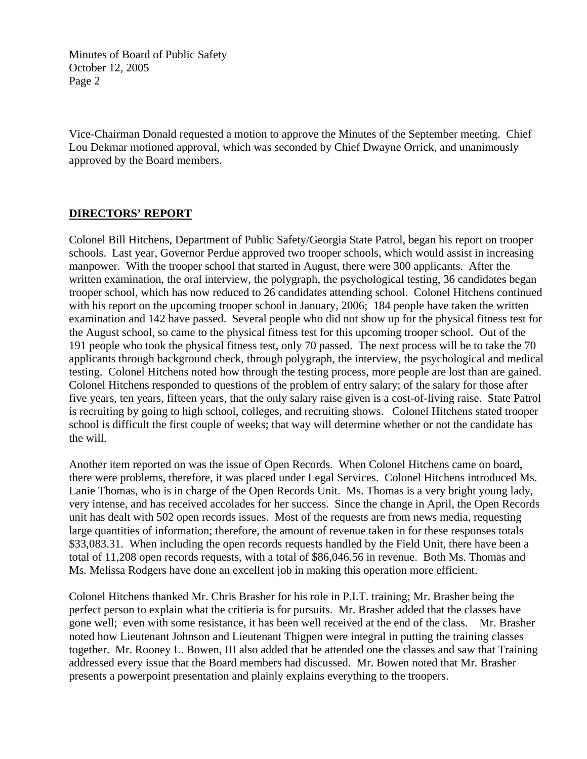Vice-Chairman Donald requested a motion to approve the Minutes of the September meeting. Chief Lou Dekmar motioned approval, which was seconded by Chief Dwayne Orrick, and unanimously approved by the Board members.

# **DIRECTORS' REPORT**

Colonel Bill Hitchens, Department of Public Safety/Georgia State Patrol, began his report on trooper schools. Last year, Governor Perdue approved two trooper schools, which would assist in increasing manpower. With the trooper school that started in August, there were 300 applicants. After the written examination, the oral interview, the polygraph, the psychological testing, 36 candidates began trooper school, which has now reduced to 26 candidates attending school. Colonel Hitchens continued with his report on the upcoming trooper school in January, 2006; 184 people have taken the written examination and 142 have passed. Several people who did not show up for the physical fitness test for the August school, so came to the physical fitness test for this upcoming trooper school. Out of the 191 people who took the physical fitness test, only 70 passed. The next process will be to take the 70 applicants through background check, through polygraph, the interview, the psychological and medical testing. Colonel Hitchens noted how through the testing process, more people are lost than are gained. Colonel Hitchens responded to questions of the problem of entry salary; of the salary for those after five years, ten years, fifteen years, that the only salary raise given is a cost-of-living raise. State Patrol is recruiting by going to high school, colleges, and recruiting shows. Colonel Hitchens stated trooper school is difficult the first couple of weeks; that way will determine whether or not the candidate has the will.

Another item reported on was the issue of Open Records. When Colonel Hitchens came on board, there were problems, therefore, it was placed under Legal Services. Colonel Hitchens introduced Ms. Lanie Thomas, who is in charge of the Open Records Unit. Ms. Thomas is a very bright young lady, very intense, and has received accolades for her success. Since the change in April, the Open Records unit has dealt with 502 open records issues. Most of the requests are from news media, requesting large quantities of information; therefore, the amount of revenue taken in for these responses totals \$33,083.31. When including the open records requests handled by the Field Unit, there have been a total of 11,208 open records requests, with a total of \$86,046.56 in revenue. Both Ms. Thomas and Ms. Melissa Rodgers have done an excellent job in making this operation more efficient.

Colonel Hitchens thanked Mr. Chris Brasher for his role in P.I.T. training; Mr. Brasher being the perfect person to explain what the critieria is for pursuits. Mr. Brasher added that the classes have gone well; even with some resistance, it has been well received at the end of the class. Mr. Brasher noted how Lieutenant Johnson and Lieutenant Thigpen were integral in putting the training classes together. Mr. Rooney L. Bowen, III also added that he attended one the classes and saw that Training addressed every issue that the Board members had discussed. Mr. Bowen noted that Mr. Brasher presents a powerpoint presentation and plainly explains everything to the troopers.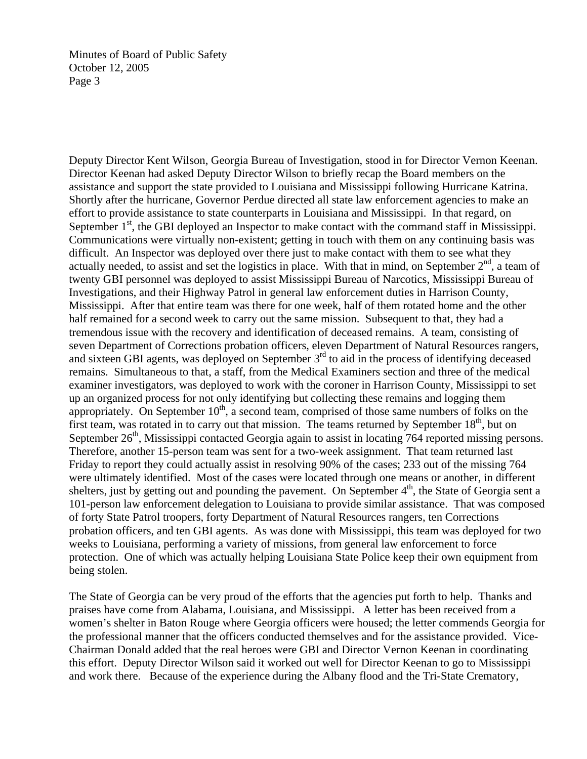Deputy Director Kent Wilson, Georgia Bureau of Investigation, stood in for Director Vernon Keenan. Director Keenan had asked Deputy Director Wilson to briefly recap the Board members on the assistance and support the state provided to Louisiana and Mississippi following Hurricane Katrina. Shortly after the hurricane, Governor Perdue directed all state law enforcement agencies to make an effort to provide assistance to state counterparts in Louisiana and Mississippi. In that regard, on September  $1<sup>st</sup>$ , the GBI deployed an Inspector to make contact with the command staff in Mississippi. Communications were virtually non-existent; getting in touch with them on any continuing basis was difficult. An Inspector was deployed over there just to make contact with them to see what they actually needed, to assist and set the logistics in place. With that in mind, on September  $2<sup>nd</sup>$ , a team of twenty GBI personnel was deployed to assist Mississippi Bureau of Narcotics, Mississippi Bureau of Investigations, and their Highway Patrol in general law enforcement duties in Harrison County, Mississippi. After that entire team was there for one week, half of them rotated home and the other half remained for a second week to carry out the same mission. Subsequent to that, they had a tremendous issue with the recovery and identification of deceased remains. A team, consisting of seven Department of Corrections probation officers, eleven Department of Natural Resources rangers, and sixteen GBI agents, was deployed on September  $3<sup>rd</sup>$  to aid in the process of identifying deceased remains. Simultaneous to that, a staff, from the Medical Examiners section and three of the medical examiner investigators, was deployed to work with the coroner in Harrison County, Mississippi to set up an organized process for not only identifying but collecting these remains and logging them appropriately. On September  $10<sup>th</sup>$ , a second team, comprised of those same numbers of folks on the first team, was rotated in to carry out that mission. The teams returned by September  $18<sup>th</sup>$ , but on September  $26<sup>th</sup>$ , Mississippi contacted Georgia again to assist in locating 764 reported missing persons. Therefore, another 15-person team was sent for a two-week assignment. That team returned last Friday to report they could actually assist in resolving 90% of the cases; 233 out of the missing 764 were ultimately identified. Most of the cases were located through one means or another, in different shelters, just by getting out and pounding the pavement. On September  $4<sup>th</sup>$ , the State of Georgia sent a 101-person law enforcement delegation to Louisiana to provide similar assistance. That was composed of forty State Patrol troopers, forty Department of Natural Resources rangers, ten Corrections probation officers, and ten GBI agents. As was done with Mississippi, this team was deployed for two weeks to Louisiana, performing a variety of missions, from general law enforcement to force protection. One of which was actually helping Louisiana State Police keep their own equipment from being stolen.

The State of Georgia can be very proud of the efforts that the agencies put forth to help. Thanks and praises have come from Alabama, Louisiana, and Mississippi. A letter has been received from a women's shelter in Baton Rouge where Georgia officers were housed; the letter commends Georgia for the professional manner that the officers conducted themselves and for the assistance provided. Vice-Chairman Donald added that the real heroes were GBI and Director Vernon Keenan in coordinating this effort. Deputy Director Wilson said it worked out well for Director Keenan to go to Mississippi and work there. Because of the experience during the Albany flood and the Tri-State Crematory,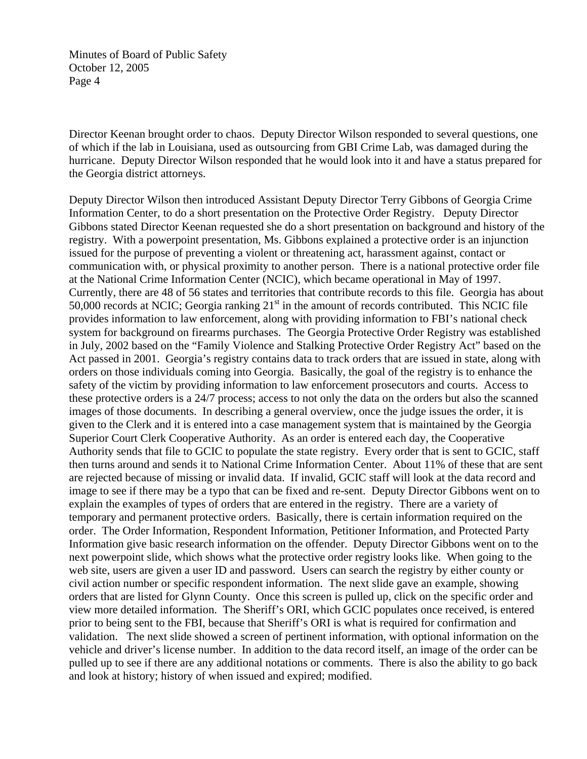Director Keenan brought order to chaos. Deputy Director Wilson responded to several questions, one of which if the lab in Louisiana, used as outsourcing from GBI Crime Lab, was damaged during the hurricane. Deputy Director Wilson responded that he would look into it and have a status prepared for the Georgia district attorneys.

Deputy Director Wilson then introduced Assistant Deputy Director Terry Gibbons of Georgia Crime Information Center, to do a short presentation on the Protective Order Registry. Deputy Director Gibbons stated Director Keenan requested she do a short presentation on background and history of the registry. With a powerpoint presentation, Ms. Gibbons explained a protective order is an injunction issued for the purpose of preventing a violent or threatening act, harassment against, contact or communication with, or physical proximity to another person. There is a national protective order file at the National Crime Information Center (NCIC), which became operational in May of 1997. Currently, there are 48 of 56 states and territories that contribute records to this file. Georgia has about 50,000 records at NCIC; Georgia ranking  $21<sup>st</sup>$  in the amount of records contributed. This NCIC file provides information to law enforcement, along with providing information to FBI's national check system for background on firearms purchases. The Georgia Protective Order Registry was established in July, 2002 based on the "Family Violence and Stalking Protective Order Registry Act" based on the Act passed in 2001. Georgia's registry contains data to track orders that are issued in state, along with orders on those individuals coming into Georgia. Basically, the goal of the registry is to enhance the safety of the victim by providing information to law enforcement prosecutors and courts. Access to these protective orders is a 24/7 process; access to not only the data on the orders but also the scanned images of those documents. In describing a general overview, once the judge issues the order, it is given to the Clerk and it is entered into a case management system that is maintained by the Georgia Superior Court Clerk Cooperative Authority. As an order is entered each day, the Cooperative Authority sends that file to GCIC to populate the state registry. Every order that is sent to GCIC, staff then turns around and sends it to National Crime Information Center. About 11% of these that are sent are rejected because of missing or invalid data. If invalid, GCIC staff will look at the data record and image to see if there may be a typo that can be fixed and re-sent. Deputy Director Gibbons went on to explain the examples of types of orders that are entered in the registry. There are a variety of temporary and permanent protective orders. Basically, there is certain information required on the order. The Order Information, Respondent Information, Petitioner Information, and Protected Party Information give basic research information on the offender. Deputy Director Gibbons went on to the next powerpoint slide, which shows what the protective order registry looks like. When going to the web site, users are given a user ID and password. Users can search the registry by either county or civil action number or specific respondent information. The next slide gave an example, showing orders that are listed for Glynn County. Once this screen is pulled up, click on the specific order and view more detailed information. The Sheriff's ORI, which GCIC populates once received, is entered prior to being sent to the FBI, because that Sheriff's ORI is what is required for confirmation and validation. The next slide showed a screen of pertinent information, with optional information on the vehicle and driver's license number. In addition to the data record itself, an image of the order can be pulled up to see if there are any additional notations or comments. There is also the ability to go back and look at history; history of when issued and expired; modified.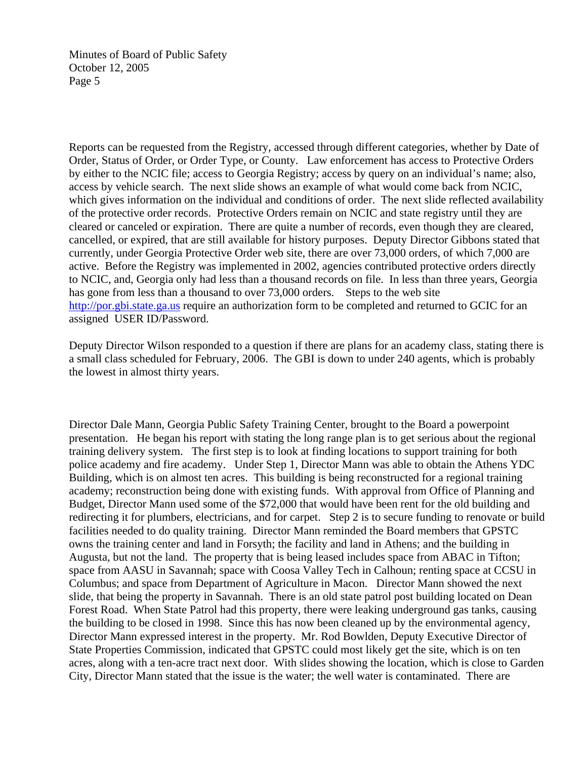Reports can be requested from the Registry, accessed through different categories, whether by Date of Order, Status of Order, or Order Type, or County. Law enforcement has access to Protective Orders by either to the NCIC file; access to Georgia Registry; access by query on an individual's name; also, access by vehicle search. The next slide shows an example of what would come back from NCIC, which gives information on the individual and conditions of order. The next slide reflected availability of the protective order records. Protective Orders remain on NCIC and state registry until they are cleared or canceled or expiration. There are quite a number of records, even though they are cleared, cancelled, or expired, that are still available for history purposes. Deputy Director Gibbons stated that currently, under Georgia Protective Order web site, there are over 73,000 orders, of which 7,000 are active. Before the Registry was implemented in 2002, agencies contributed protective orders directly to NCIC, and, Georgia only had less than a thousand records on file. In less than three years, Georgia has gone from less than a thousand to over 73,000 orders. Steps to the web site http://por.gbi.state.ga.us require an authorization form to be completed and returned to GCIC for an assigned USER ID/Password.

Deputy Director Wilson responded to a question if there are plans for an academy class, stating there is a small class scheduled for February, 2006. The GBI is down to under 240 agents, which is probably the lowest in almost thirty years.

Director Dale Mann, Georgia Public Safety Training Center, brought to the Board a powerpoint presentation. He began his report with stating the long range plan is to get serious about the regional training delivery system. The first step is to look at finding locations to support training for both police academy and fire academy. Under Step 1, Director Mann was able to obtain the Athens YDC Building, which is on almost ten acres. This building is being reconstructed for a regional training academy; reconstruction being done with existing funds. With approval from Office of Planning and Budget, Director Mann used some of the \$72,000 that would have been rent for the old building and redirecting it for plumbers, electricians, and for carpet. Step 2 is to secure funding to renovate or build facilities needed to do quality training. Director Mann reminded the Board members that GPSTC owns the training center and land in Forsyth; the facility and land in Athens; and the building in Augusta, but not the land. The property that is being leased includes space from ABAC in Tifton; space from AASU in Savannah; space with Coosa Valley Tech in Calhoun; renting space at CCSU in Columbus; and space from Department of Agriculture in Macon. Director Mann showed the next slide, that being the property in Savannah. There is an old state patrol post building located on Dean Forest Road. When State Patrol had this property, there were leaking underground gas tanks, causing the building to be closed in 1998. Since this has now been cleaned up by the environmental agency, Director Mann expressed interest in the property. Mr. Rod Bowlden, Deputy Executive Director of State Properties Commission, indicated that GPSTC could most likely get the site, which is on ten acres, along with a ten-acre tract next door. With slides showing the location, which is close to Garden City, Director Mann stated that the issue is the water; the well water is contaminated. There are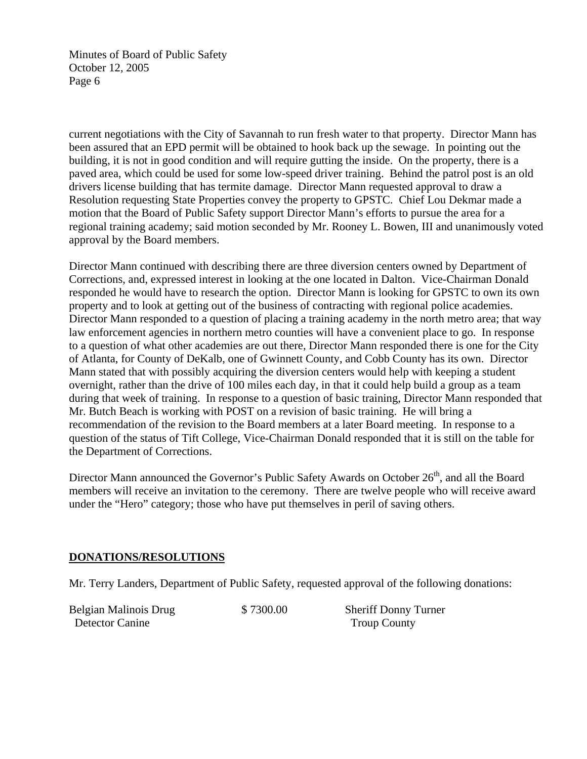current negotiations with the City of Savannah to run fresh water to that property. Director Mann has been assured that an EPD permit will be obtained to hook back up the sewage. In pointing out the building, it is not in good condition and will require gutting the inside. On the property, there is a paved area, which could be used for some low-speed driver training. Behind the patrol post is an old drivers license building that has termite damage. Director Mann requested approval to draw a Resolution requesting State Properties convey the property to GPSTC. Chief Lou Dekmar made a motion that the Board of Public Safety support Director Mann's efforts to pursue the area for a regional training academy; said motion seconded by Mr. Rooney L. Bowen, III and unanimously voted approval by the Board members.

Director Mann continued with describing there are three diversion centers owned by Department of Corrections, and, expressed interest in looking at the one located in Dalton. Vice-Chairman Donald responded he would have to research the option. Director Mann is looking for GPSTC to own its own property and to look at getting out of the business of contracting with regional police academies. Director Mann responded to a question of placing a training academy in the north metro area; that way law enforcement agencies in northern metro counties will have a convenient place to go. In response to a question of what other academies are out there, Director Mann responded there is one for the City of Atlanta, for County of DeKalb, one of Gwinnett County, and Cobb County has its own. Director Mann stated that with possibly acquiring the diversion centers would help with keeping a student overnight, rather than the drive of 100 miles each day, in that it could help build a group as a team during that week of training. In response to a question of basic training, Director Mann responded that Mr. Butch Beach is working with POST on a revision of basic training. He will bring a recommendation of the revision to the Board members at a later Board meeting. In response to a question of the status of Tift College, Vice-Chairman Donald responded that it is still on the table for the Department of Corrections.

Director Mann announced the Governor's Public Safety Awards on October 26<sup>th</sup>, and all the Board members will receive an invitation to the ceremony. There are twelve people who will receive award under the "Hero" category; those who have put themselves in peril of saving others.

# **DONATIONS/RESOLUTIONS**

Mr. Terry Landers, Department of Public Safety, requested approval of the following donations:

Belgian Malinois Drug \$ 7300.00 Sheriff Donny Turner Detector Canine Troup County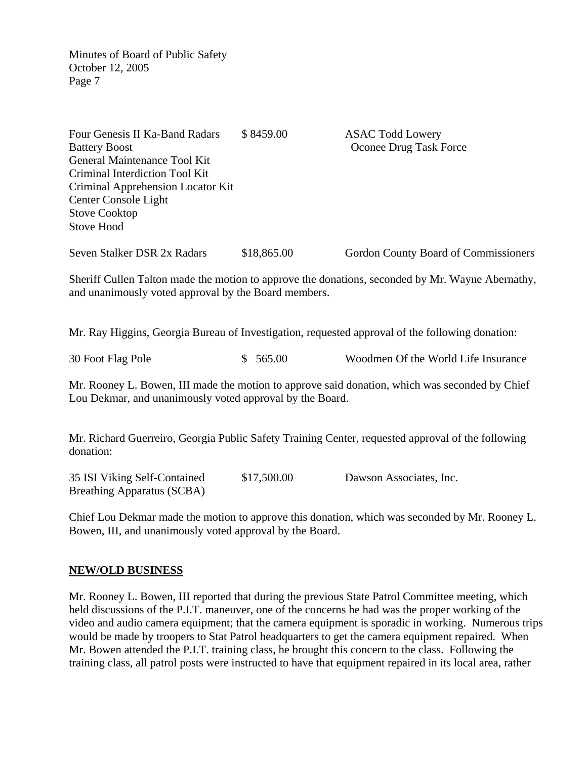Four Genesis II Ka-Band Radars  $$8459.00$  ASAC Todd Lowery Battery Boost **Oconee Drug Task Force** General Maintenance Tool Kit Criminal Interdiction Tool Kit Criminal Apprehension Locator Kit Center Console Light Stove Cooktop Stove Hood Seven Stalker DSR 2x Radars \$18,865.00 Gordon County Board of Commissioners Sheriff Cullen Talton made the motion to approve the donations, seconded by Mr. Wayne Abernathy, and unanimously voted approval by the Board members. Mr. Ray Higgins, Georgia Bureau of Investigation, requested approval of the following donation:

30 Foot Flag Pole \$ 565.00 Woodmen Of the World Life Insurance

Mr. Rooney L. Bowen, III made the motion to approve said donation, which was seconded by Chief Lou Dekmar, and unanimously voted approval by the Board.

Mr. Richard Guerreiro, Georgia Public Safety Training Center, requested approval of the following donation:

35 ISI Viking Self-Contained \$17,500.00 Dawson Associates, Inc. Breathing Apparatus (SCBA)

Chief Lou Dekmar made the motion to approve this donation, which was seconded by Mr. Rooney L. Bowen, III, and unanimously voted approval by the Board.

## **NEW/OLD BUSINESS**

Mr. Rooney L. Bowen, III reported that during the previous State Patrol Committee meeting, which held discussions of the P.I.T. maneuver, one of the concerns he had was the proper working of the video and audio camera equipment; that the camera equipment is sporadic in working. Numerous trips would be made by troopers to Stat Patrol headquarters to get the camera equipment repaired. When Mr. Bowen attended the P.I.T. training class, he brought this concern to the class. Following the training class, all patrol posts were instructed to have that equipment repaired in its local area, rather